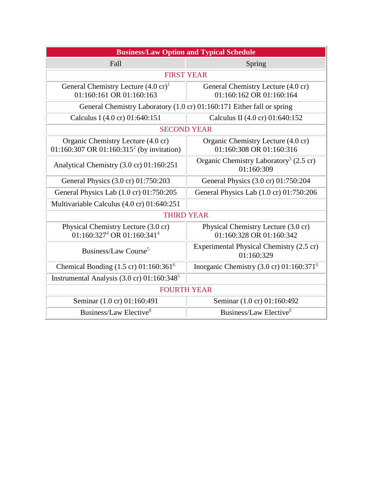| <b>Business/Law Option and Typical Schedule</b>                                             |                                                                  |
|---------------------------------------------------------------------------------------------|------------------------------------------------------------------|
| Fall                                                                                        | Spring                                                           |
| <b>FIRST YEAR</b>                                                                           |                                                                  |
| General Chemistry Lecture $(4.0 \text{ cr})^1$<br>01:160:161 OR 01:160:163                  | General Chemistry Lecture (4.0 cr)<br>01:160:162 OR 01:160:164   |
| General Chemistry Laboratory (1.0 cr) 01:160:171 Either fall or spring                      |                                                                  |
| Calculus I (4.0 cr) 01:640:151                                                              | Calculus II (4.0 cr) 01:640:152                                  |
| <b>SECOND YEAR</b>                                                                          |                                                                  |
| Organic Chemistry Lecture (4.0 cr)<br>01:160:307 OR 01:160:315 <sup>2</sup> (by invitation) | Organic Chemistry Lecture (4.0 cr)<br>01:160:308 OR 01:160:316   |
| Analytical Chemistry (3.0 cr) 01:160:251                                                    | Organic Chemistry Laboratory <sup>3</sup> (2.5 cr)<br>01:160:309 |
| General Physics (3.0 cr) 01:750:203                                                         | General Physics (3.0 cr) 01:750:204                              |
| General Physics Lab (1.0 cr) 01:750:205                                                     | General Physics Lab (1.0 cr) 01:750:206                          |
| Multivariable Calculus (4.0 cr) 01:640:251                                                  |                                                                  |
| <b>THIRD YEAR</b>                                                                           |                                                                  |
| Physical Chemistry Lecture (3.0 cr)<br>$01:160:3274$ OR $01:160:3414$                       | Physical Chemistry Lecture (3.0 cr)<br>01:160:328 OR 01:160:342  |
| Business/Law Course <sup>5</sup>                                                            | Experimental Physical Chemistry (2.5 cr)<br>01:160:329           |
| Chemical Bonding $(1.5 \text{ cr}) 01:160:361^6$                                            | Inorganic Chemistry (3.0 cr) $01:160:371^6$                      |
| Instrumental Analysis $(3.0 \text{ cr})$ 01:160:348 <sup>5</sup>                            |                                                                  |
| <b>FOURTH YEAR</b>                                                                          |                                                                  |
| Seminar (1.0 cr) 01:160:491                                                                 | Seminar (1.0 cr) 01:160:492                                      |
| Business/Law Elective <sup>8</sup>                                                          | Business/Law Elective <sup>8</sup>                               |